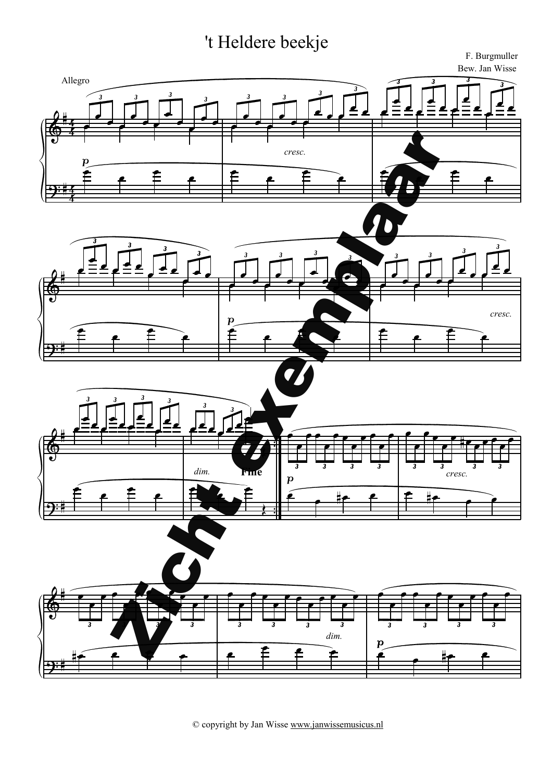## 't Heldere beekje



© copyright by Jan Wisse www.janwissemusicus.nl